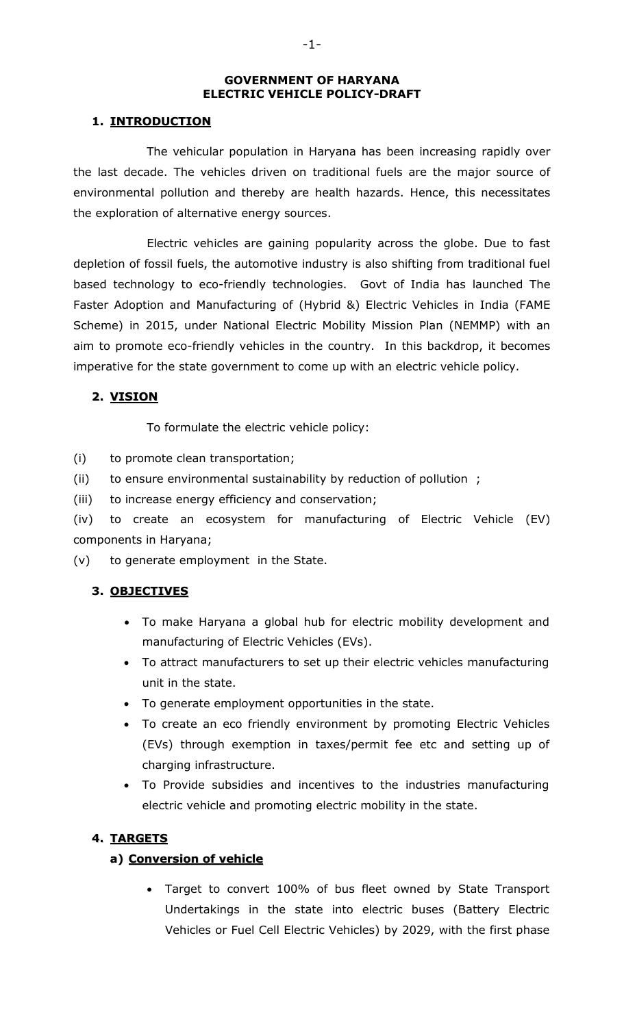#### **GOVERNMENT OF HARYANA ELECTRIC VEHICLE POLICY-DRAFT**

# **1. INTRODUCTION**

The vehicular population in Haryana has been increasing rapidly over the last decade. The vehicles driven on traditional fuels are the major source of environmental pollution and thereby are health hazards. Hence, this necessitates the exploration of alternative energy sources.

Electric vehicles are gaining popularity across the globe. Due to fast depletion of fossil fuels, the automotive industry is also shifting from traditional fuel based technology to eco-friendly technologies. Govt of India has launched The Faster Adoption and Manufacturing of (Hybrid &) Electric Vehicles in India (FAME Scheme) in 2015, under National Electric Mobility Mission Plan (NEMMP) with an aim to promote eco-friendly vehicles in the country. In this backdrop, it becomes imperative for the state government to come up with an electric vehicle policy.

# **2. VISION**

To formulate the electric vehicle policy:

(i) to promote clean transportation;

(ii) to ensure environmental sustainability by reduction of pollution ;

(iii) to increase energy efficiency and conservation;

(iv) to create an ecosystem for manufacturing of Electric Vehicle (EV) components in Haryana;

(v) to generate employment in the State.

# **3. OBJECTIVES**

- To make Haryana a global hub for electric mobility development and manufacturing of Electric Vehicles (EVs).
- To attract manufacturers to set up their electric vehicles manufacturing unit in the state.
- To generate employment opportunities in the state.
- To create an eco friendly environment by promoting Electric Vehicles (EVs) through exemption in taxes/permit fee etc and setting up of charging infrastructure.
- To Provide subsidies and incentives to the industries manufacturing electric vehicle and promoting electric mobility in the state.

# **4. TARGETS**

# **a) Conversion of vehicle**

 Target to convert 100% of bus fleet owned by State Transport Undertakings in the state into electric buses (Battery Electric Vehicles or Fuel Cell Electric Vehicles) by 2029, with the first phase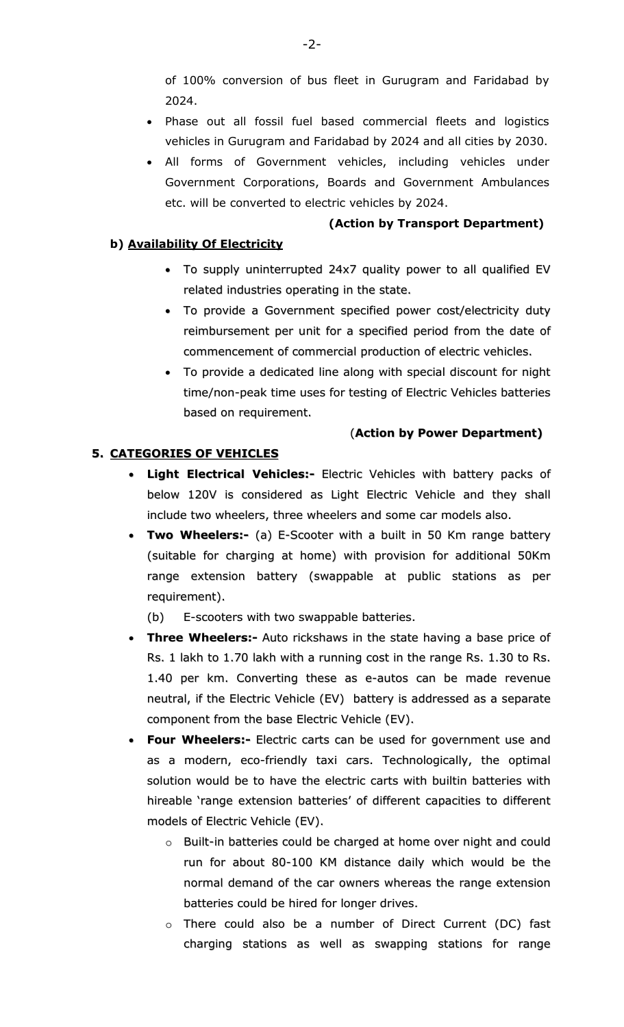of 100% conversion of bus fleet in Gurugram and Faridabad by 2024.

- Phase out all fossil fuel based commercial fleets and logistics vehicles in Gurugram and Faridabad by 2024 and all cities by 2030.
- All forms of Government vehicles, including vehicles under Government Corporations, Boards and Government Ambulances etc. will be converted to electric vehicles by 2024.

#### **(Action by Transport Department)**

#### **b) Availability Of Electricity**

- To supply uninterrupted 24x7 quality power to all qualified EV related industries operating in the state.
- To provide a Government specified power cost/electricity duty reimbursement per unit for a specified period from the date of commencement of commercial production of electric vehicles.
- To provide a dedicated line along with special discount for night time/non-peak time uses for testing of Electric Vehicles batteries based on requirement.

#### (**Action by Power Department)**

# **5. CATEGORIES OF VEHICLES**

- **Light Electrical Vehicles:-** Electric Vehicles with battery packs of below 120V is considered as Light Electric Vehicle and they shall include two wheelers, three wheelers and some car models also.
- **Two Wheelers:-** (a) E-Scooter with a built in 50 Km range battery (suitable for charging at home) with provision for additional 50Km range extension battery (swappable at public stations as per requirement).

(b) E-scooters with two swappable batteries.

- **Three Wheelers:-** Auto rickshaws in the state having a base price of Rs. 1 lakh to 1.70 lakh with a running cost in the range Rs. 1.30 to Rs. 1.40 per km. Converting these as e-autos can be made revenue neutral, if the Electric Vehicle (EV) battery is addressed as a separate component from the base Electric Vehicle (EV).
- **Four Wheelers:-** Electric carts can be used for government use and as a modern, eco-friendly taxi cars. Technologically, the optimal solution would be to have the electric carts with builtin batteries with hireable 'range extension batteries' of different capacities to different models of Electric Vehicle (EV).
	- o Built-in batteries could be charged at home over night and could run for about 80-100 KM distance daily which would be the normal demand of the car owners whereas the range extension batteries could be hired for longer drives.
	- o There could also be a number of Direct Current (DC) fast charging stations as well as swapping stations for range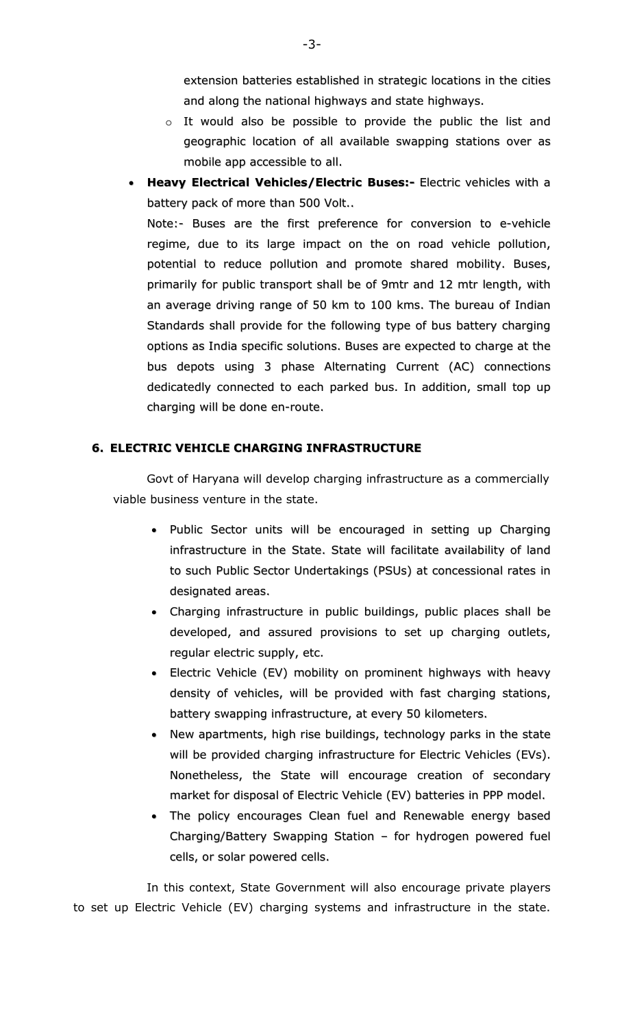extension batteries established in strategic locations in the cities and along the national highways and state highways.

- o It would also be possible to provide the public the list and geographic location of all available swapping stations over as mobile app accessible to all.
- **Heavy Electrical Vehicles/Electric Buses:-** Electric vehicles with a battery pack of more than 500 Volt..

Note:- Buses are the first preference for conversion to e-vehicle regime, due to its large impact on the on road vehicle pollution, potential to reduce pollution and promote shared mobility. Buses, primarily for public transport shall be of 9mtr and 12 mtr length, with an average driving range of 50 km to 100 kms. The bureau of Indian Standards shall provide for the following type of bus battery charging options as India specific solutions. Buses are expected to charge at the bus depots using 3 phase Alternating Current (AC) connections dedicatedly connected to each parked bus. In addition, small top up charging will be done en-route.

#### **6. ELECTRIC VEHICLE CHARGING INFRASTRUCTURE**

Govt of Haryana will develop charging infrastructure as a commercially viable business venture in the state.

- Public Sector units will be encouraged in setting up Charging infrastructure in the State. State will facilitate availability of land to such Public Sector Undertakings (PSUs) at concessional rates in designated areas.
- Charging infrastructure in public buildings, public places shall be developed, and assured provisions to set up charging outlets, regular electric supply, etc.
- Electric Vehicle (EV) mobility on prominent highways with heavy density of vehicles, will be provided with fast charging stations, battery swapping infrastructure, at every 50 kilometers.
- New apartments, high rise buildings, technology parks in the state will be provided charging infrastructure for Electric Vehicles (EVs). Nonetheless, the State will encourage creation of secondary market for disposal of Electric Vehicle (EV) batteries in PPP model.
- The policy encourages Clean fuel and Renewable energy based Charging/Battery Swapping Station – for hydrogen powered fuel cells, or solar powered cells.

In this context, State Government will also encourage private players to set up Electric Vehicle (EV) charging systems and infrastructure in the state.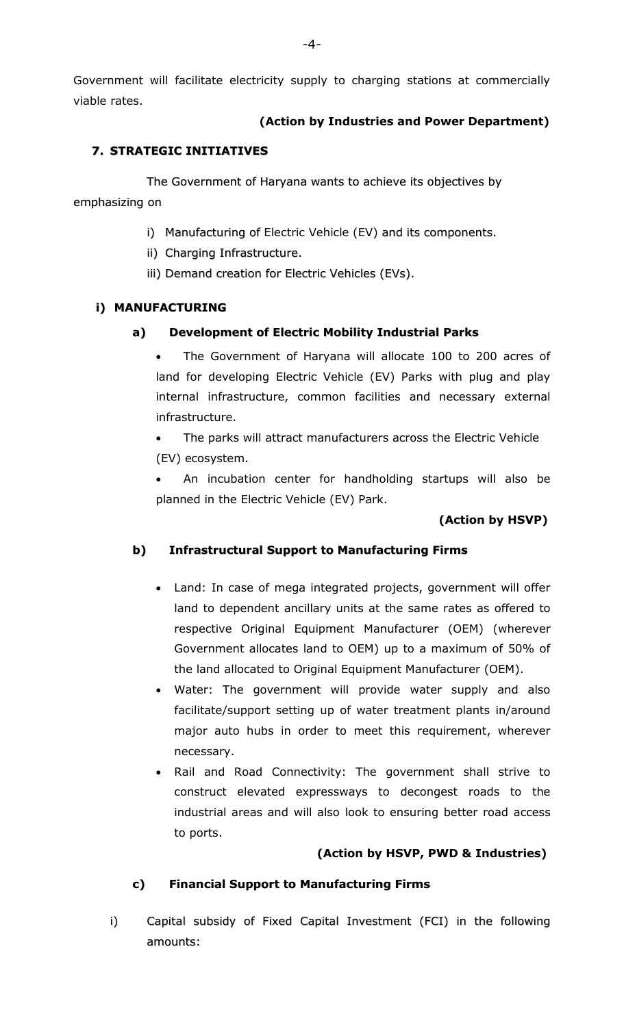Government will facilitate electricity supply to charging stations at commercially viable rates.

# **(Action by Industries and Power Department)**

# **7. STRATEGIC INITIATIVES**

The Government of Haryana wants to achieve its objectives by emphasizing on

- i) Manufacturing of Electric Vehicle (EV) and its components.
- ii) Charging Infrastructure.
- iii) Demand creation for Electric Vehicles (EVs).

# **i) MANUFACTURING**

# **a) Development of Electric Mobility Industrial Parks**

 The Government of Haryana will allocate 100 to 200 acres of land for developing Electric Vehicle (EV) Parks with plug and play internal infrastructure, common facilities and necessary external infrastructure.

 The parks will attract manufacturers across the Electric Vehicle (EV) ecosystem.

 An incubation center for handholding startups will also be planned in the Electric Vehicle (EV) Park.

# **(Action by HSVP)**

# **b) Infrastructural Support to Manufacturing Firms**

- Land: In case of mega integrated projects, government will offer land to dependent ancillary units at the same rates as offered to respective Original Equipment Manufacturer (OEM) (wherever Government allocates land to OEM) up to a maximum of 50% of the land allocated to Original Equipment Manufacturer (OEM).
- Water: The government will provide water supply and also facilitate/support setting up of water treatment plants in/around major auto hubs in order to meet this requirement, wherever necessary.
- Rail and Road Connectivity: The government shall strive to construct elevated expressways to decongest roads to the industrial areas and will also look to ensuring better road access to ports.

# **(Action by HSVP, PWD & Industries)**

# **c) Financial Support to Manufacturing Firms**

i) Capital subsidy of Fixed Capital Investment (FCI) in the following amounts: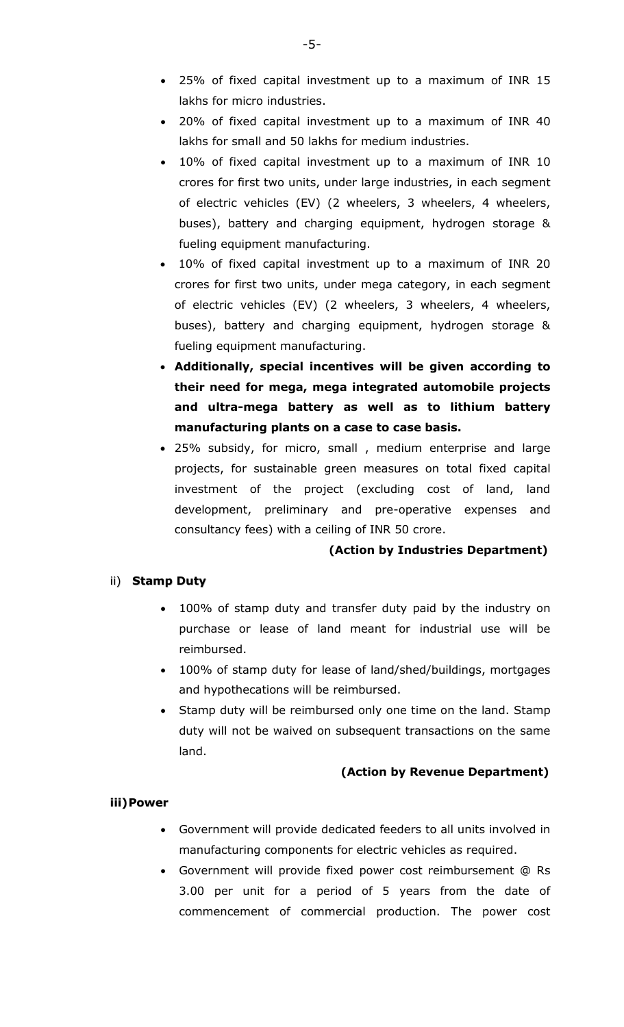- 25% of fixed capital investment up to a maximum of INR 15 lakhs for micro industries.
- 20% of fixed capital investment up to a maximum of INR 40 lakhs for small and 50 lakhs for medium industries.
- 10% of fixed capital investment up to a maximum of INR 10 crores for first two units, under large industries, in each segment of electric vehicles (EV) (2 wheelers, 3 wheelers, 4 wheelers, buses), battery and charging equipment, hydrogen storage & fueling equipment manufacturing.
- 10% of fixed capital investment up to a maximum of INR 20 crores for first two units, under mega category, in each segment of electric vehicles (EV) (2 wheelers, 3 wheelers, 4 wheelers, buses), battery and charging equipment, hydrogen storage & fueling equipment manufacturing.
- **Additionally, special incentives will be given according to their need for mega, mega integrated automobile projects and ultra-mega battery as well as to lithium battery manufacturing plants on a case to case basis.**
- 25% subsidy, for micro, small , medium enterprise and large projects, for sustainable green measures on total fixed capital investment of the project (excluding cost of land, land development, preliminary and pre-operative expenses and consultancy fees) with a ceiling of INR 50 crore.

# **(Action by Industries Department)**

# ii) **Stamp Duty**

- 100% of stamp duty and transfer duty paid by the industry on purchase or lease of land meant for industrial use will be reimbursed.
- 100% of stamp duty for lease of land/shed/buildings, mortgages and hypothecations will be reimbursed.
- Stamp duty will be reimbursed only one time on the land. Stamp duty will not be waived on subsequent transactions on the same land.

# **(Action by Revenue Department)**

# **iii)Power**

- Government will provide dedicated feeders to all units involved in manufacturing components for electric vehicles as required.
- Government will provide fixed power cost reimbursement @ Rs 3.00 per unit for a period of 5 years from the date of commencement of commercial production. The power cost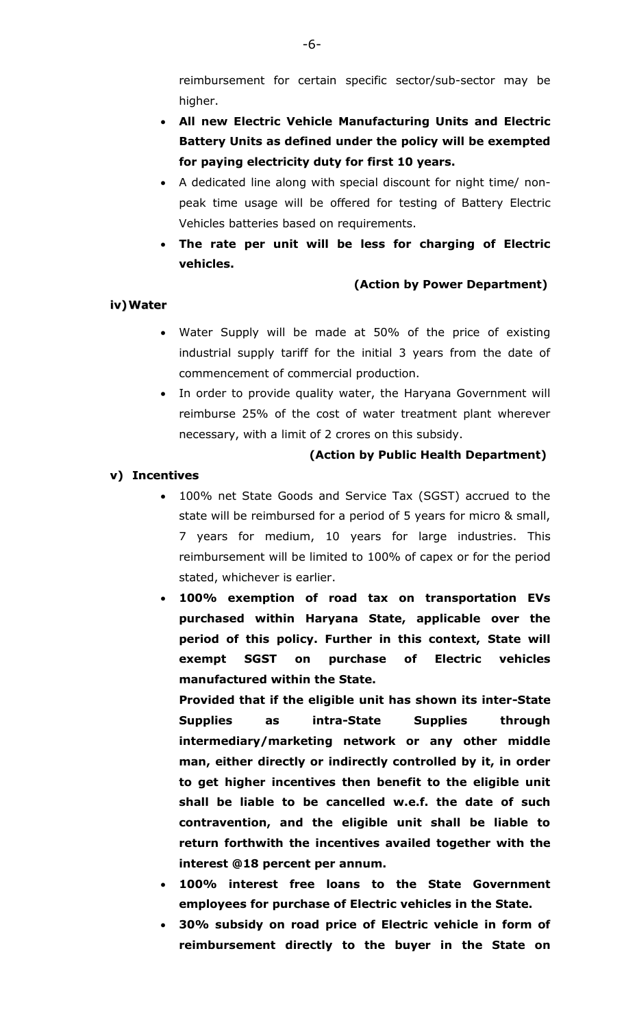reimbursement for certain specific sector/sub-sector may be higher.

- **All new Electric Vehicle Manufacturing Units and Electric Battery Units as defined under the policy will be exempted for paying electricity duty for first 10 years.**
- A dedicated line along with special discount for night time/ nonpeak time usage will be offered for testing of Battery Electric Vehicles batteries based on requirements.
- **The rate per unit will be less for charging of Electric vehicles.**

# **(Action by Power Department)**

# **iv)Water**

- Water Supply will be made at 50% of the price of existing industrial supply tariff for the initial 3 years from the date of commencement of commercial production.
- In order to provide quality water, the Haryana Government will reimburse 25% of the cost of water treatment plant wherever necessary, with a limit of 2 crores on this subsidy.

# **(Action by Public Health Department)**

# **v) Incentives**

- 100% net State Goods and Service Tax (SGST) accrued to the state will be reimbursed for a period of 5 years for micro & small, 7 years for medium, 10 years for large industries. This reimbursement will be limited to 100% of capex or for the period stated, whichever is earlier.
- **100% exemption of road tax on transportation EVs purchased within Haryana State, applicable over the period of this policy. Further in this context, State will exempt SGST on purchase of Electric vehicles manufactured within the State.**

**Provided that if the eligible unit has shown its inter-State Supplies as intra-State Supplies through intermediary/marketing network or any other middle man, either directly or indirectly controlled by it, in order to get higher incentives then benefit to the eligible unit shall be liable to be cancelled w.e.f. the date of such contravention, and the eligible unit shall be liable to return forthwith the incentives availed together with the interest @18 percent per annum.**

- **100% interest free loans to the State Government employees for purchase of Electric vehicles in the State.**
- **30% subsidy on road price of Electric vehicle in form of reimbursement directly to the buyer in the State on**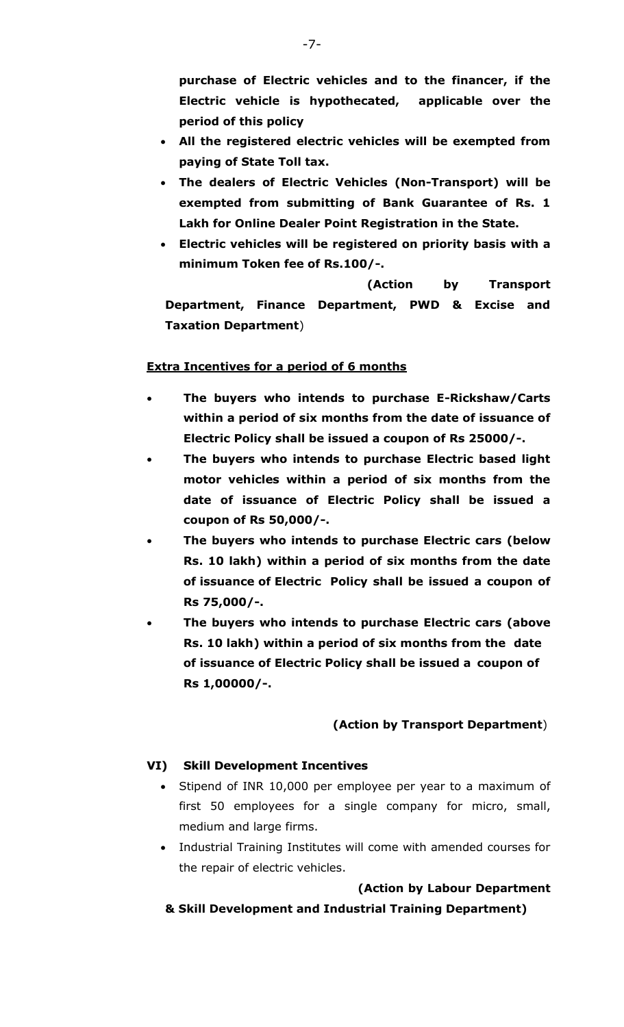**purchase of Electric vehicles and to the financer, if the Electric vehicle is hypothecated, applicable over the period of this policy** 

- **All the registered electric vehicles will be exempted from paying of State Toll tax.**
- **The dealers of Electric Vehicles (Non-Transport) will be exempted from submitting of Bank Guarantee of Rs. 1 Lakh for Online Dealer Point Registration in the State.**
- **Electric vehicles will be registered on priority basis with a minimum Token fee of Rs.100/-.**

 **(Action by Transport Department, Finance Department, PWD & Excise and Taxation Department**)

# **Extra Incentives for a period of 6 months**

- **The buyers who intends to purchase E-Rickshaw/Carts within a period of six months from the date of issuance of Electric Policy shall be issued a coupon of Rs 25000/-.**
- **The buyers who intends to purchase Electric based light motor vehicles within a period of six months from the date of issuance of Electric Policy shall be issued a coupon of Rs 50,000/-.**
- **The buyers who intends to purchase Electric cars (below Rs. 10 lakh) within a period of six months from the date of issuance of Electric Policy shall be issued a coupon of Rs 75,000/-.**
- **The buyers who intends to purchase Electric cars (above Rs. 10 lakh) within a period of six months from the date of issuance of Electric Policy shall be issued a coupon of Rs 1,00000/-.**

# **(Action by Transport Department**)

# **VI) Skill Development Incentives**

- Stipend of INR 10,000 per employee per year to a maximum of first 50 employees for a single company for micro, small, medium and large firms.
- Industrial Training Institutes will come with amended courses for the repair of electric vehicles.

# **(Action by Labour Department**

# **& Skill Development and Industrial Training Department)**

-7-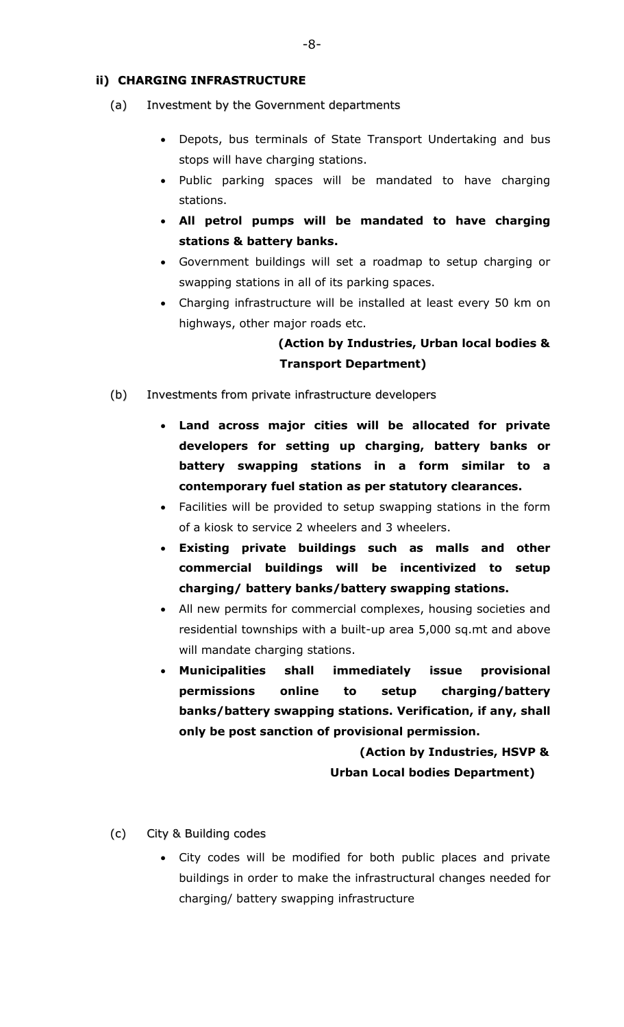# **ii) CHARGING INFRASTRUCTURE**

- (a) Investment by the Government departments
	- Depots, bus terminals of State Transport Undertaking and bus stops will have charging stations.
	- Public parking spaces will be mandated to have charging stations.
	- **All petrol pumps will be mandated to have charging stations & battery banks.**
	- Government buildings will set a roadmap to setup charging or swapping stations in all of its parking spaces.
	- Charging infrastructure will be installed at least every 50 km on highways, other major roads etc.

# **(Action by Industries, Urban local bodies & Transport Department)**

- (b) Investments from private infrastructure developers
	- **Land across major cities will be allocated for private developers for setting up charging, battery banks or battery swapping stations in a form similar to a contemporary fuel station as per statutory clearances.**
	- Facilities will be provided to setup swapping stations in the form of a kiosk to service 2 wheelers and 3 wheelers.
	- **Existing private buildings such as malls and other commercial buildings will be incentivized to setup charging/ battery banks/battery swapping stations.**
	- All new permits for commercial complexes, housing societies and residential townships with a built-up area 5,000 sq.mt and above will mandate charging stations.
	- **Municipalities shall immediately issue provisional permissions online to setup charging/battery banks/battery swapping stations. Verification, if any, shall only be post sanction of provisional permission.**

 **(Action by Industries, HSVP & Urban Local bodies Department)**

- (c) City & Building codes
	- City codes will be modified for both public places and private buildings in order to make the infrastructural changes needed for charging/ battery swapping infrastructure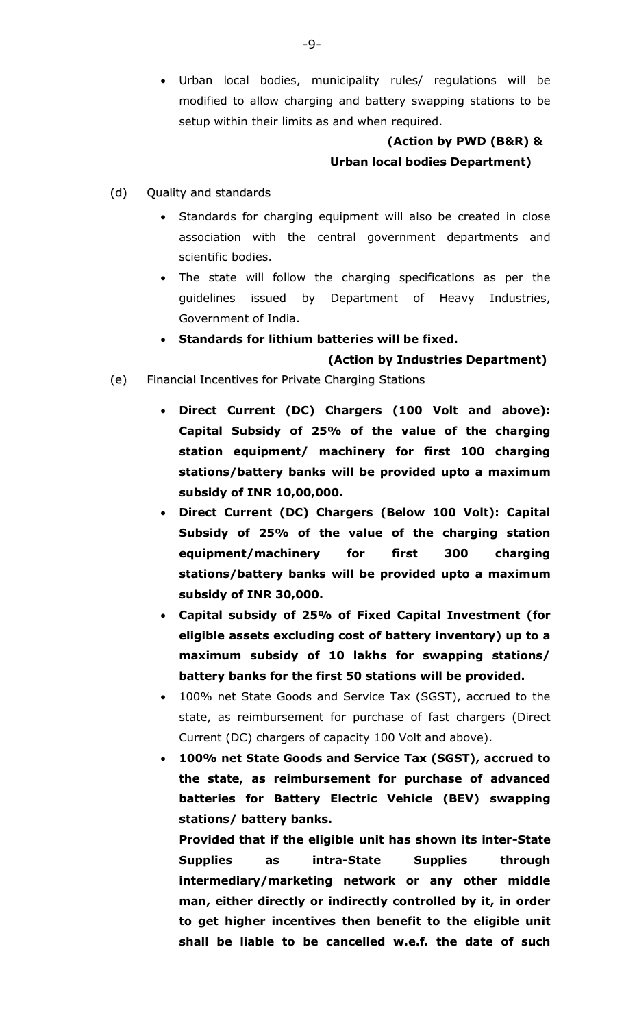Urban local bodies, municipality rules/ regulations will be modified to allow charging and battery swapping stations to be setup within their limits as and when required.

# **(Action by PWD (B&R) & Urban local bodies Department)**

- (d) Quality and standards
	- Standards for charging equipment will also be created in close association with the central government departments and scientific bodies.
	- The state will follow the charging specifications as per the guidelines issued by Department of Heavy Industries, Government of India.
		- **Standards for lithium batteries will be fixed.**

#### **(Action by Industries Department)**

- (e) Financial Incentives for Private Charging Stations
	- **Direct Current (DC) Chargers (100 Volt and above): Capital Subsidy of 25% of the value of the charging station equipment/ machinery for first 100 charging stations/battery banks will be provided upto a maximum subsidy of INR 10,00,000.**
	- **Direct Current (DC) Chargers (Below 100 Volt): Capital Subsidy of 25% of the value of the charging station equipment/machinery for first 300 charging stations/battery banks will be provided upto a maximum subsidy of INR 30,000.**
	- **Capital subsidy of 25% of Fixed Capital Investment (for eligible assets excluding cost of battery inventory) up to a maximum subsidy of 10 lakhs for swapping stations/ battery banks for the first 50 stations will be provided.**
	- 100% net State Goods and Service Tax (SGST), accrued to the state, as reimbursement for purchase of fast chargers (Direct Current (DC) chargers of capacity 100 Volt and above).
	- **100% net State Goods and Service Tax (SGST), accrued to the state, as reimbursement for purchase of advanced batteries for Battery Electric Vehicle (BEV) swapping stations/ battery banks.**

**Provided that if the eligible unit has shown its inter-State Supplies as intra-State Supplies through intermediary/marketing network or any other middle man, either directly or indirectly controlled by it, in order to get higher incentives then benefit to the eligible unit shall be liable to be cancelled w.e.f. the date of such**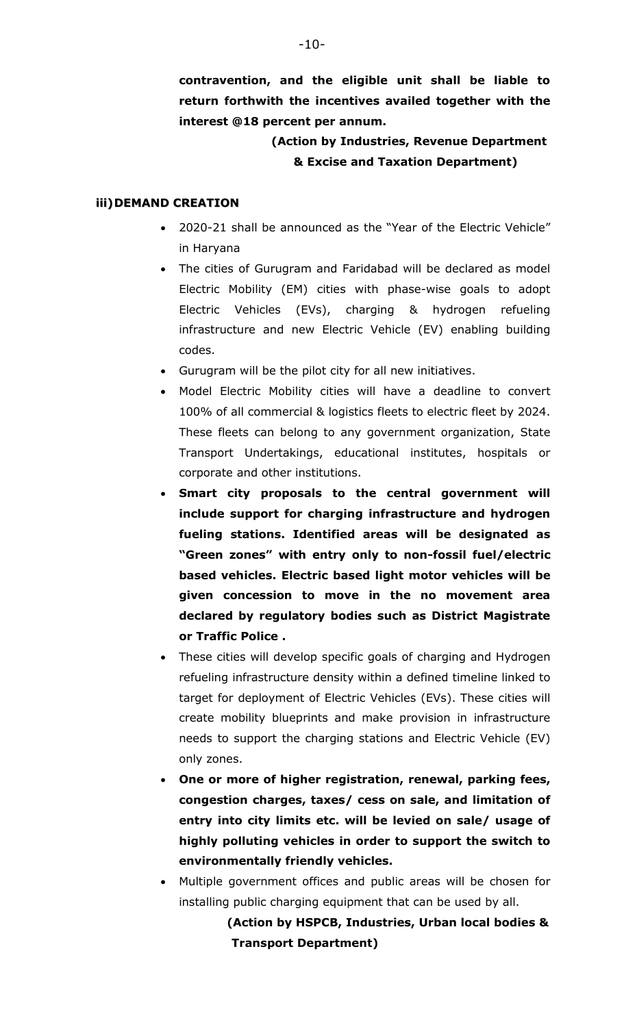**contravention, and the eligible unit shall be liable to return forthwith the incentives availed together with the interest @18 percent per annum.**

# **(Action by Industries, Revenue Department & Excise and Taxation Department)**

#### **iii)DEMAND CREATION**

- 2020-21 shall be announced as the "Year of the Electric Vehicle" in Haryana
- The cities of Gurugram and Faridabad will be declared as model Electric Mobility (EM) cities with phase-wise goals to adopt Electric Vehicles (EVs), charging & hydrogen refueling infrastructure and new Electric Vehicle (EV) enabling building codes.
- Gurugram will be the pilot city for all new initiatives.
- Model Electric Mobility cities will have a deadline to convert 100% of all commercial & logistics fleets to electric fleet by 2024. These fleets can belong to any government organization, State Transport Undertakings, educational institutes, hospitals or corporate and other institutions.
- **Smart city proposals to the central government will include support for charging infrastructure and hydrogen fueling stations. Identified areas will be designated as "Green zones" with entry only to non-fossil fuel/electric based vehicles. Electric based light motor vehicles will be given concession to move in the no movement area declared by regulatory bodies such as District Magistrate or Traffic Police .**
- These cities will develop specific goals of charging and Hydrogen refueling infrastructure density within a defined timeline linked to target for deployment of Electric Vehicles (EVs). These cities will create mobility blueprints and make provision in infrastructure needs to support the charging stations and Electric Vehicle (EV) only zones.
- **One or more of higher registration, renewal, parking fees, congestion charges, taxes/ cess on sale, and limitation of entry into city limits etc. will be levied on sale/ usage of highly polluting vehicles in order to support the switch to environmentally friendly vehicles.**
- Multiple government offices and public areas will be chosen for installing public charging equipment that can be used by all.

 **(Action by HSPCB, Industries, Urban local bodies & Transport Department)**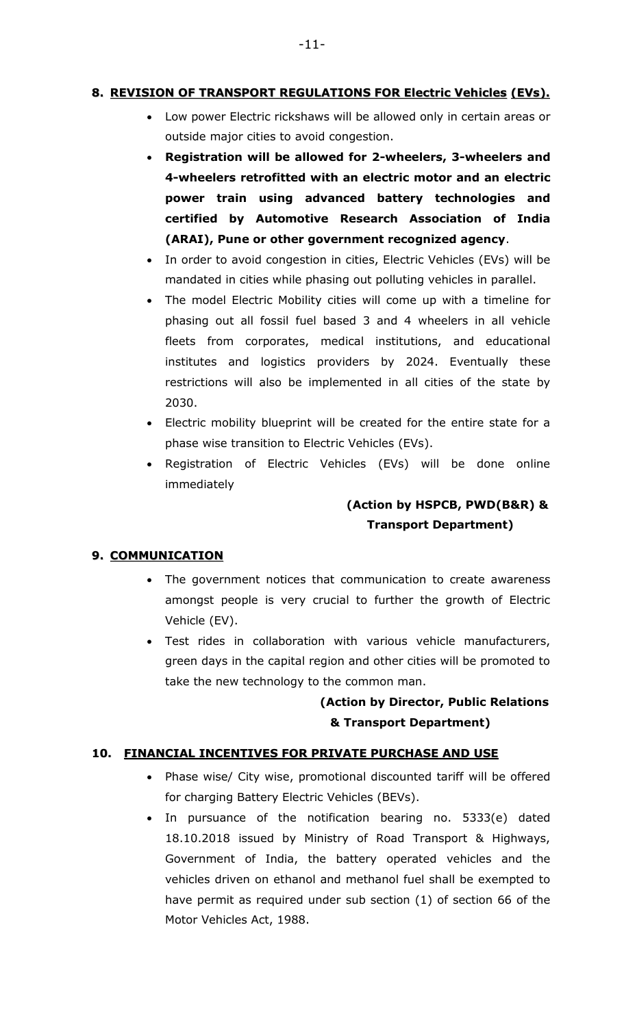# **8. REVISION OF TRANSPORT REGULATIONS FOR Electric Vehicles (EVs).**

- Low power Electric rickshaws will be allowed only in certain areas or outside major cities to avoid congestion.
- **Registration will be allowed for 2-wheelers, 3-wheelers and 4-wheelers retrofitted with an electric motor and an electric power train using advanced battery technologies and certified by Automotive Research Association of India (ARAI), Pune or other government recognized agency**.
- In order to avoid congestion in cities, Electric Vehicles (EVs) will be mandated in cities while phasing out polluting vehicles in parallel.
- The model Electric Mobility cities will come up with a timeline for phasing out all fossil fuel based 3 and 4 wheelers in all vehicle fleets from corporates, medical institutions, and educational institutes and logistics providers by 2024. Eventually these restrictions will also be implemented in all cities of the state by 2030.
- Electric mobility blueprint will be created for the entire state for a phase wise transition to Electric Vehicles (EVs).
- Registration of Electric Vehicles (EVs) will be done online immediately

# **(Action by HSPCB, PWD(B&R) & Transport Department)**

# **9. COMMUNICATION**

- The government notices that communication to create awareness amongst people is very crucial to further the growth of Electric Vehicle (EV).
- Test rides in collaboration with various vehicle manufacturers, green days in the capital region and other cities will be promoted to take the new technology to the common man.

# **(Action by Director, Public Relations & Transport Department)**

# **10. FINANCIAL INCENTIVES FOR PRIVATE PURCHASE AND USE**

- Phase wise/ City wise, promotional discounted tariff will be offered for charging Battery Electric Vehicles (BEVs).
- In pursuance of the notification bearing no. 5333(e) dated 18.10.2018 issued by Ministry of Road Transport & Highways, Government of India, the battery operated vehicles and the vehicles driven on ethanol and methanol fuel shall be exempted to have permit as required under sub section (1) of section 66 of the Motor Vehicles Act, 1988.